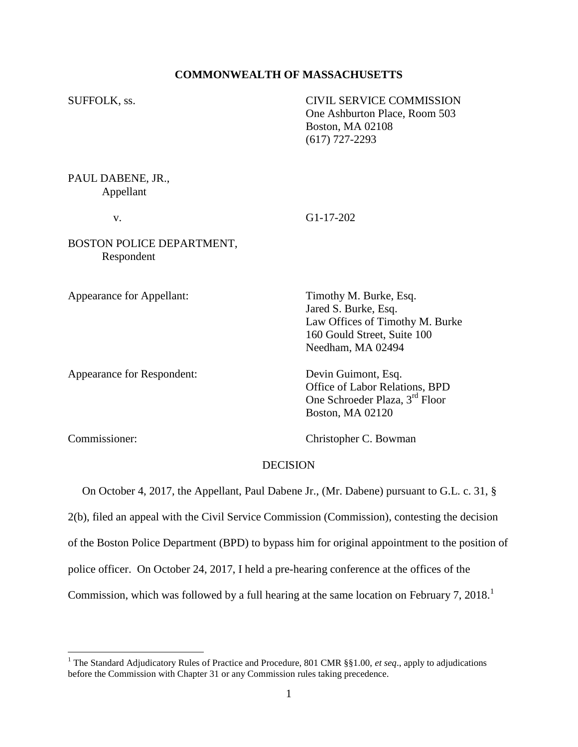## **COMMONWEALTH OF MASSACHUSETTS**

SUFFOLK, ss. CIVIL SERVICE COMMISSION One Ashburton Place, Room 503 Boston, MA 02108 (617) 727-2293

PAUL DABENE, JR., Appellant

v. G1-17-202

BOSTON POLICE DEPARTMENT, Respondent

Appearance for Appellant: Timothy M. Burke, Esq.

Appearance for Respondent: Devin Guimont, Esq.

Jared S. Burke, Esq. Law Offices of Timothy M. Burke 160 Gould Street, Suite 100 Needham, MA 02494

Office of Labor Relations, BPD One Schroeder Plaza, 3<sup>rd</sup> Floor Boston, MA 02120

 $\overline{a}$ 

Commissioner: Christopher C. Bowman

## **DECISION**

On October 4, 2017, the Appellant, Paul Dabene Jr., (Mr. Dabene) pursuant to G.L. c. 31, §

2(b), filed an appeal with the Civil Service Commission (Commission), contesting the decision

of the Boston Police Department (BPD) to bypass him for original appointment to the position of

police officer. On October 24, 2017, I held a pre-hearing conference at the offices of the

Commission, which was followed by a full hearing at the same location on February 7, 2018.<sup>1</sup>

<sup>&</sup>lt;sup>1</sup> The Standard Adjudicatory Rules of Practice and Procedure, 801 CMR §§1.00, *et seq.*, apply to adjudications before the Commission with Chapter 31 or any Commission rules taking precedence.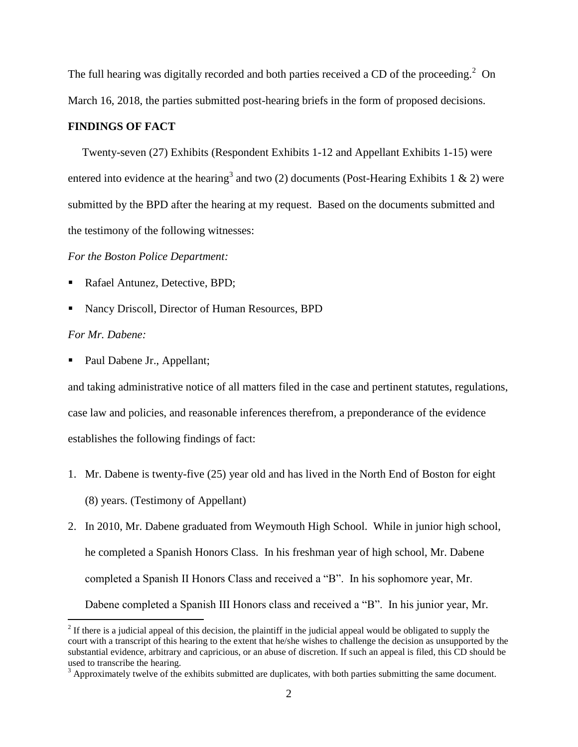The full hearing was digitally recorded and both parties received a CD of the proceeding.<sup>2</sup> On March 16, 2018, the parties submitted post-hearing briefs in the form of proposed decisions.

## **FINDINGS OF FACT**

 Twenty-seven (27) Exhibits (Respondent Exhibits 1-12 and Appellant Exhibits 1-15) were entered into evidence at the hearing<sup>3</sup> and two (2) documents (Post-Hearing Exhibits 1 & 2) were submitted by the BPD after the hearing at my request. Based on the documents submitted and the testimony of the following witnesses:

### *For the Boston Police Department:*

- Rafael Antunez, Detective, BPD;
- Nancy Driscoll, Director of Human Resources, BPD

#### *For Mr. Dabene:*

Paul Dabene Jr., Appellant;

and taking administrative notice of all matters filed in the case and pertinent statutes, regulations, case law and policies, and reasonable inferences therefrom, a preponderance of the evidence establishes the following findings of fact:

- 1. Mr. Dabene is twenty-five (25) year old and has lived in the North End of Boston for eight (8) years. (Testimony of Appellant)
- 2. In 2010, Mr. Dabene graduated from Weymouth High School. While in junior high school, he completed a Spanish Honors Class. In his freshman year of high school, Mr. Dabene completed a Spanish II Honors Class and received a "B". In his sophomore year, Mr. Dabene completed a Spanish III Honors class and received a "B". In his junior year, Mr.

<sup>&</sup>lt;sup>2</sup> If there is a judicial appeal of this decision, the plaintiff in the judicial appeal would be obligated to supply the court with a transcript of this hearing to the extent that he/she wishes to challenge the decision as unsupported by the substantial evidence, arbitrary and capricious, or an abuse of discretion. If such an appeal is filed, this CD should be used to transcribe the hearing.

 $3$  Approximately twelve of the exhibits submitted are duplicates, with both parties submitting the same document.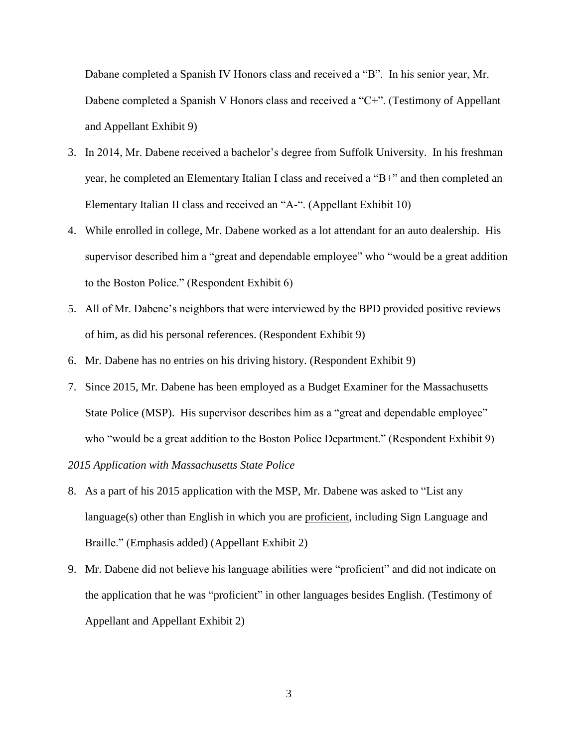Dabane completed a Spanish IV Honors class and received a "B". In his senior year, Mr. Dabene completed a Spanish V Honors class and received a "C+". (Testimony of Appellant and Appellant Exhibit 9)

- 3. In 2014, Mr. Dabene received a bachelor's degree from Suffolk University. In his freshman year, he completed an Elementary Italian I class and received a "B+" and then completed an Elementary Italian II class and received an "A-". (Appellant Exhibit 10)
- 4. While enrolled in college, Mr. Dabene worked as a lot attendant for an auto dealership. His supervisor described him a "great and dependable employee" who "would be a great addition to the Boston Police." (Respondent Exhibit 6)
- 5. All of Mr. Dabene's neighbors that were interviewed by the BPD provided positive reviews of him, as did his personal references. (Respondent Exhibit 9)
- 6. Mr. Dabene has no entries on his driving history. (Respondent Exhibit 9)
- 7. Since 2015, Mr. Dabene has been employed as a Budget Examiner for the Massachusetts State Police (MSP). His supervisor describes him as a "great and dependable employee" who "would be a great addition to the Boston Police Department." (Respondent Exhibit 9)

*2015 Application with Massachusetts State Police*

- 8. As a part of his 2015 application with the MSP, Mr. Dabene was asked to "List any language(s) other than English in which you are proficient, including Sign Language and Braille." (Emphasis added) (Appellant Exhibit 2)
- 9. Mr. Dabene did not believe his language abilities were "proficient" and did not indicate on the application that he was "proficient" in other languages besides English. (Testimony of Appellant and Appellant Exhibit 2)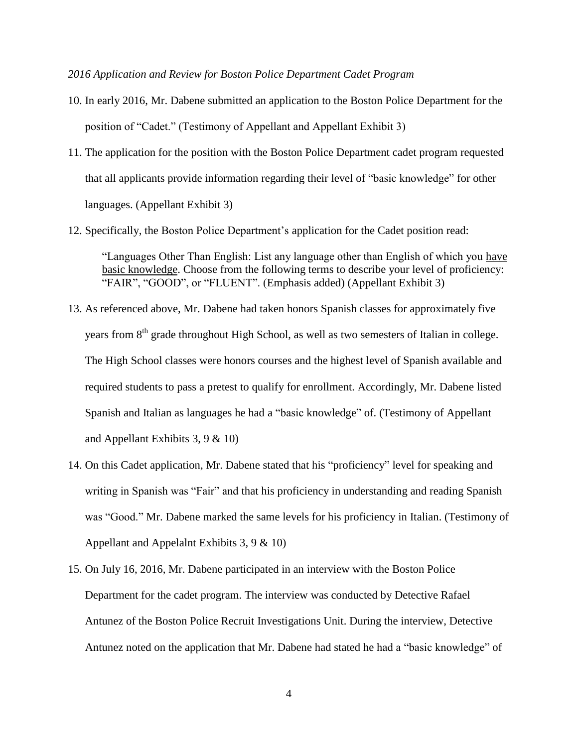*2016 Application and Review for Boston Police Department Cadet Program*

- 10. In early 2016, Mr. Dabene submitted an application to the Boston Police Department for the position of "Cadet." (Testimony of Appellant and Appellant Exhibit 3)
- 11. The application for the position with the Boston Police Department cadet program requested that all applicants provide information regarding their level of "basic knowledge" for other languages. (Appellant Exhibit 3)
- 12. Specifically, the Boston Police Department's application for the Cadet position read:

"Languages Other Than English: List any language other than English of which you have basic knowledge. Choose from the following terms to describe your level of proficiency: "FAIR", "GOOD", or "FLUENT". (Emphasis added) (Appellant Exhibit 3)

- 13. As referenced above, Mr. Dabene had taken honors Spanish classes for approximately five years from 8<sup>th</sup> grade throughout High School, as well as two semesters of Italian in college. The High School classes were honors courses and the highest level of Spanish available and required students to pass a pretest to qualify for enrollment. Accordingly, Mr. Dabene listed Spanish and Italian as languages he had a "basic knowledge" of. (Testimony of Appellant and Appellant Exhibits 3, 9 & 10)
- 14. On this Cadet application, Mr. Dabene stated that his "proficiency" level for speaking and writing in Spanish was "Fair" and that his proficiency in understanding and reading Spanish was "Good." Mr. Dabene marked the same levels for his proficiency in Italian. (Testimony of Appellant and Appelalnt Exhibits 3, 9 & 10)
- 15. On July 16, 2016, Mr. Dabene participated in an interview with the Boston Police Department for the cadet program. The interview was conducted by Detective Rafael Antunez of the Boston Police Recruit Investigations Unit. During the interview, Detective Antunez noted on the application that Mr. Dabene had stated he had a "basic knowledge" of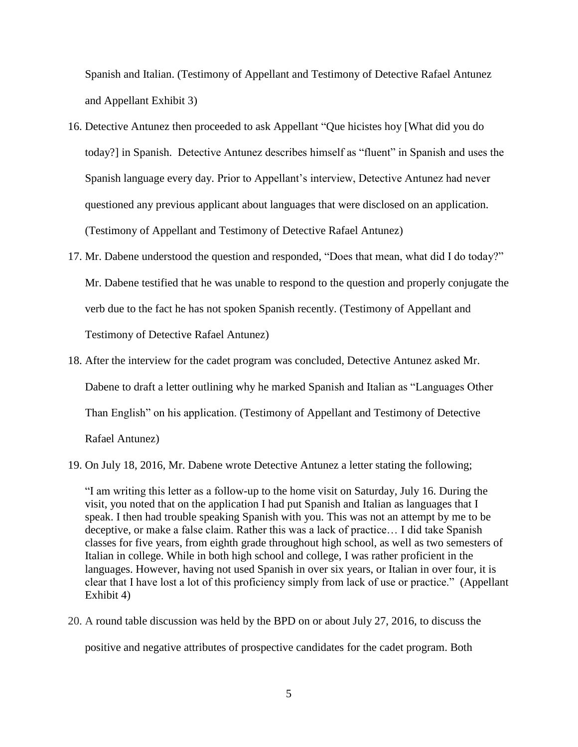Spanish and Italian. (Testimony of Appellant and Testimony of Detective Rafael Antunez and Appellant Exhibit 3)

- 16. Detective Antunez then proceeded to ask Appellant "Que hicistes hoy [What did you do today?] in Spanish. Detective Antunez describes himself as "fluent" in Spanish and uses the Spanish language every day. Prior to Appellant's interview, Detective Antunez had never questioned any previous applicant about languages that were disclosed on an application. (Testimony of Appellant and Testimony of Detective Rafael Antunez)
- 17. Mr. Dabene understood the question and responded, "Does that mean, what did I do today?" Mr. Dabene testified that he was unable to respond to the question and properly conjugate the verb due to the fact he has not spoken Spanish recently. (Testimony of Appellant and Testimony of Detective Rafael Antunez)
- 18. After the interview for the cadet program was concluded, Detective Antunez asked Mr. Dabene to draft a letter outlining why he marked Spanish and Italian as "Languages Other Than English" on his application. (Testimony of Appellant and Testimony of Detective Rafael Antunez)
- 19. On July 18, 2016, Mr. Dabene wrote Detective Antunez a letter stating the following;

"I am writing this letter as a follow-up to the home visit on Saturday, July 16. During the visit, you noted that on the application I had put Spanish and Italian as languages that I speak. I then had trouble speaking Spanish with you. This was not an attempt by me to be deceptive, or make a false claim. Rather this was a lack of practice… I did take Spanish classes for five years, from eighth grade throughout high school, as well as two semesters of Italian in college. While in both high school and college, I was rather proficient in the languages. However, having not used Spanish in over six years, or Italian in over four, it is clear that I have lost a lot of this proficiency simply from lack of use or practice." (Appellant Exhibit 4)

20. A round table discussion was held by the BPD on or about July 27, 2016, to discuss the positive and negative attributes of prospective candidates for the cadet program. Both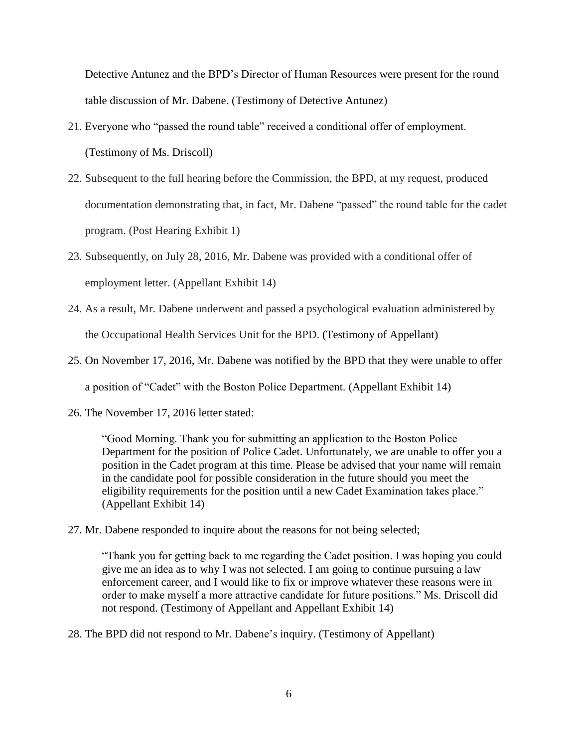Detective Antunez and the BPD's Director of Human Resources were present for the round table discussion of Mr. Dabene. (Testimony of Detective Antunez)

- 21. Everyone who "passed the round table" received a conditional offer of employment. (Testimony of Ms. Driscoll)
- 22. Subsequent to the full hearing before the Commission, the BPD, at my request, produced documentation demonstrating that, in fact, Mr. Dabene "passed" the round table for the cadet program. (Post Hearing Exhibit 1)
- 23. Subsequently, on July 28, 2016, Mr. Dabene was provided with a conditional offer of employment letter. (Appellant Exhibit 14)
- 24. As a result, Mr. Dabene underwent and passed a psychological evaluation administered by the Occupational Health Services Unit for the BPD. (Testimony of Appellant)
- 25. On November 17, 2016, Mr. Dabene was notified by the BPD that they were unable to offer a position of "Cadet" with the Boston Police Department. (Appellant Exhibit 14)
- 26. The November 17, 2016 letter stated:

"Good Morning. Thank you for submitting an application to the Boston Police Department for the position of Police Cadet. Unfortunately, we are unable to offer you a position in the Cadet program at this time. Please be advised that your name will remain in the candidate pool for possible consideration in the future should you meet the eligibility requirements for the position until a new Cadet Examination takes place." (Appellant Exhibit 14)

27. Mr. Dabene responded to inquire about the reasons for not being selected;

"Thank you for getting back to me regarding the Cadet position. I was hoping you could give me an idea as to why I was not selected. I am going to continue pursuing a law enforcement career, and I would like to fix or improve whatever these reasons were in order to make myself a more attractive candidate for future positions." Ms. Driscoll did not respond. (Testimony of Appellant and Appellant Exhibit 14)

28. The BPD did not respond to Mr. Dabene's inquiry. (Testimony of Appellant)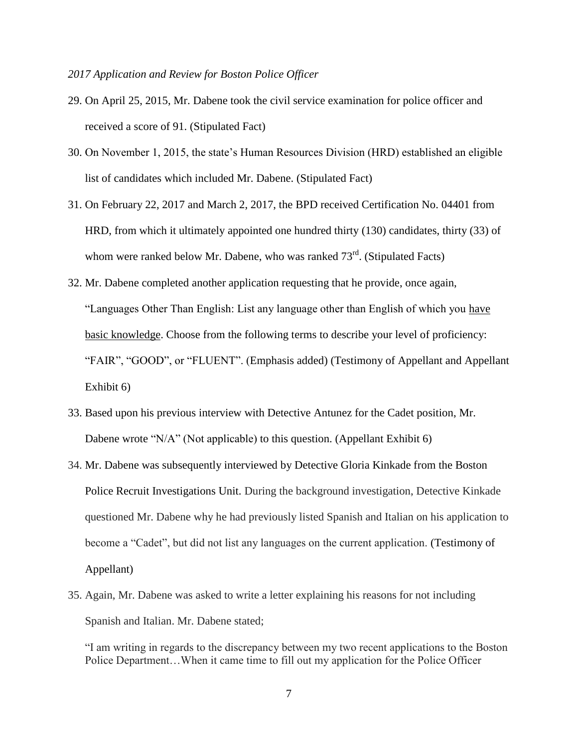- 29. On April 25, 2015, Mr. Dabene took the civil service examination for police officer and received a score of 91. (Stipulated Fact)
- 30. On November 1, 2015, the state's Human Resources Division (HRD) established an eligible list of candidates which included Mr. Dabene. (Stipulated Fact)
- 31. On February 22, 2017 and March 2, 2017, the BPD received Certification No. 04401 from HRD, from which it ultimately appointed one hundred thirty (130) candidates, thirty (33) of whom were ranked below Mr. Dabene, who was ranked  $73<sup>rd</sup>$ . (Stipulated Facts)
- 32. Mr. Dabene completed another application requesting that he provide, once again, "Languages Other Than English: List any language other than English of which you have basic knowledge. Choose from the following terms to describe your level of proficiency: "FAIR", "GOOD", or "FLUENT". (Emphasis added) (Testimony of Appellant and Appellant Exhibit 6)
- 33. Based upon his previous interview with Detective Antunez for the Cadet position, Mr. Dabene wrote "N/A" (Not applicable) to this question. (Appellant Exhibit 6)
- 34. Mr. Dabene was subsequently interviewed by Detective Gloria Kinkade from the Boston Police Recruit Investigations Unit. During the background investigation, Detective Kinkade questioned Mr. Dabene why he had previously listed Spanish and Italian on his application to become a "Cadet", but did not list any languages on the current application. (Testimony of Appellant)
- 35. Again, Mr. Dabene was asked to write a letter explaining his reasons for not including Spanish and Italian. Mr. Dabene stated;

"I am writing in regards to the discrepancy between my two recent applications to the Boston Police Department…When it came time to fill out my application for the Police Officer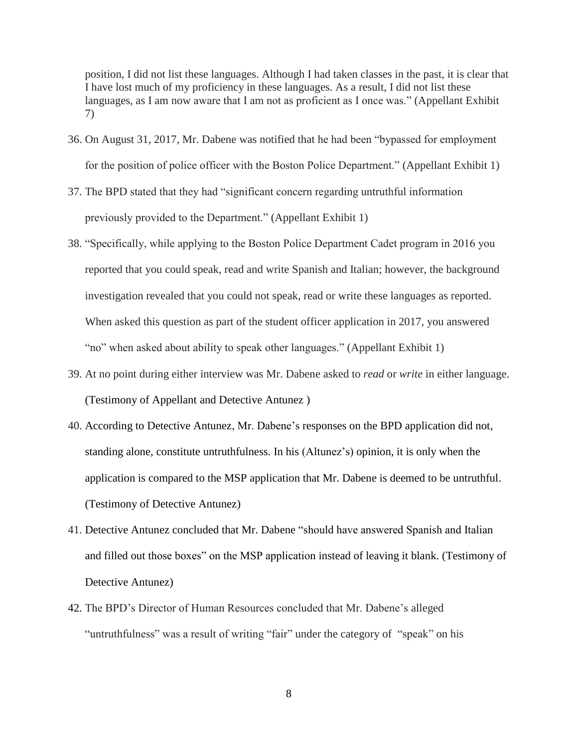position, I did not list these languages. Although I had taken classes in the past, it is clear that I have lost much of my proficiency in these languages. As a result, I did not list these languages, as I am now aware that I am not as proficient as I once was." (Appellant Exhibit 7)

- 36. On August 31, 2017, Mr. Dabene was notified that he had been "bypassed for employment for the position of police officer with the Boston Police Department." (Appellant Exhibit 1)
- 37. The BPD stated that they had "significant concern regarding untruthful information previously provided to the Department." (Appellant Exhibit 1)
- 38. "Specifically, while applying to the Boston Police Department Cadet program in 2016 you reported that you could speak, read and write Spanish and Italian; however, the background investigation revealed that you could not speak, read or write these languages as reported. When asked this question as part of the student officer application in 2017, you answered "no" when asked about ability to speak other languages." (Appellant Exhibit 1)
- 39. At no point during either interview was Mr. Dabene asked to *read* or *write* in either language. (Testimony of Appellant and Detective Antunez )
- 40. According to Detective Antunez, Mr. Dabene's responses on the BPD application did not, standing alone, constitute untruthfulness. In his (Altunez's) opinion, it is only when the application is compared to the MSP application that Mr. Dabene is deemed to be untruthful. (Testimony of Detective Antunez)
- 41. Detective Antunez concluded that Mr. Dabene "should have answered Spanish and Italian and filled out those boxes" on the MSP application instead of leaving it blank. (Testimony of Detective Antunez)
- 42. The BPD's Director of Human Resources concluded that Mr. Dabene's alleged "untruthfulness" was a result of writing "fair" under the category of "speak" on his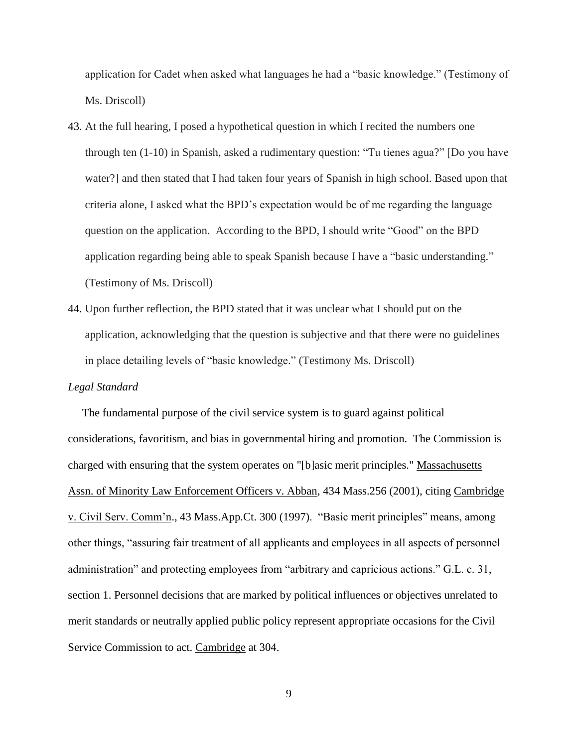application for Cadet when asked what languages he had a "basic knowledge." (Testimony of Ms. Driscoll)

- 43. At the full hearing, I posed a hypothetical question in which I recited the numbers one through ten (1-10) in Spanish, asked a rudimentary question: "Tu tienes agua?" [Do you have water?] and then stated that I had taken four years of Spanish in high school. Based upon that criteria alone, I asked what the BPD's expectation would be of me regarding the language question on the application. According to the BPD, I should write "Good" on the BPD application regarding being able to speak Spanish because I have a "basic understanding." (Testimony of Ms. Driscoll)
- 44. Upon further reflection, the BPD stated that it was unclear what I should put on the application, acknowledging that the question is subjective and that there were no guidelines in place detailing levels of "basic knowledge." (Testimony Ms. Driscoll)

### *Legal Standard*

 The fundamental purpose of the civil service system is to guard against political considerations, favoritism, and bias in governmental hiring and promotion. The Commission is charged with ensuring that the system operates on "[b]asic merit principles." Massachusetts Assn. of Minority Law Enforcement Officers v. Abban, 434 Mass.256 (2001), citing Cambridge v. Civil Serv. Comm'n., 43 Mass.App.Ct. 300 (1997). "Basic merit principles" means, among other things, "assuring fair treatment of all applicants and employees in all aspects of personnel administration" and protecting employees from "arbitrary and capricious actions." G.L. c. 31, section 1. Personnel decisions that are marked by political influences or objectives unrelated to merit standards or neutrally applied public policy represent appropriate occasions for the Civil Service Commission to act. Cambridge at 304.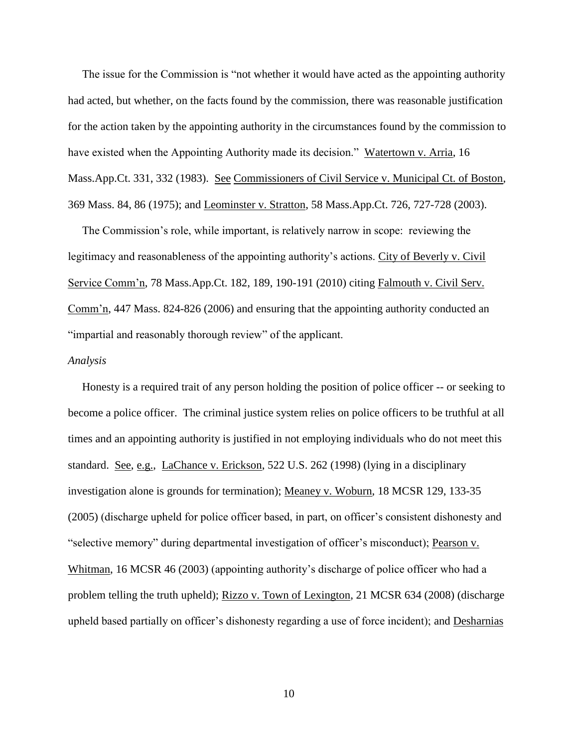The issue for the Commission is "not whether it would have acted as the appointing authority had acted, but whether, on the facts found by the commission, there was reasonable justification for the action taken by the appointing authority in the circumstances found by the commission to have existed when the Appointing Authority made its decision." Watertown v. Arria, 16 Mass.App.Ct. 331, 332 (1983). See Commissioners of Civil Service v. Municipal Ct. of Boston, 369 Mass. 84, 86 (1975); and Leominster v. Stratton, 58 Mass.App.Ct. 726, 727-728 (2003).

 The Commission's role, while important, is relatively narrow in scope: reviewing the legitimacy and reasonableness of the appointing authority's actions. City of Beverly v. Civil Service Comm'n, 78 Mass.App.Ct. 182, 189, 190-191 (2010) citing Falmouth v. Civil Serv. Comm'n, 447 Mass. 824-826 (2006) and ensuring that the appointing authority conducted an "impartial and reasonably thorough review" of the applicant.

#### *Analysis*

 Honesty is a required trait of any person holding the position of police officer -- or seeking to become a police officer. The criminal justice system relies on police officers to be truthful at all times and an appointing authority is justified in not employing individuals who do not meet this standard. See, e.g., LaChance v. Erickson, 522 U.S. 262 (1998) (lying in a disciplinary investigation alone is grounds for termination); Meaney v. Woburn, 18 MCSR 129, 133-35 (2005) (discharge upheld for police officer based, in part, on officer's consistent dishonesty and "selective memory" during departmental investigation of officer's misconduct); Pearson v. Whitman, 16 MCSR 46 (2003) (appointing authority's discharge of police officer who had a problem telling the truth upheld); Rizzo v. Town of Lexington, 21 MCSR 634 (2008) (discharge upheld based partially on officer's dishonesty regarding a use of force incident); and Desharnias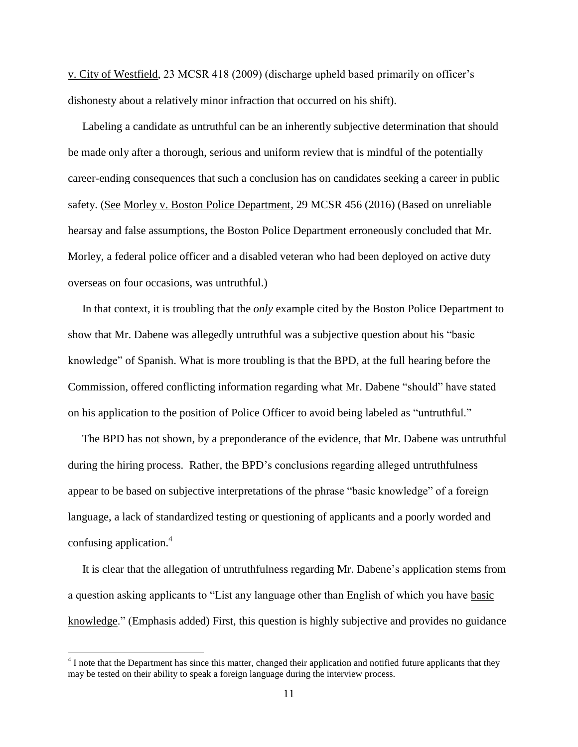v. City of Westfield, 23 MCSR 418 (2009) (discharge upheld based primarily on officer's dishonesty about a relatively minor infraction that occurred on his shift).

 Labeling a candidate as untruthful can be an inherently subjective determination that should be made only after a thorough, serious and uniform review that is mindful of the potentially career-ending consequences that such a conclusion has on candidates seeking a career in public safety. (See Morley v. Boston Police Department, 29 MCSR 456 (2016) (Based on unreliable hearsay and false assumptions, the Boston Police Department erroneously concluded that Mr. Morley, a federal police officer and a disabled veteran who had been deployed on active duty overseas on four occasions, was untruthful.)

 In that context, it is troubling that the *only* example cited by the Boston Police Department to show that Mr. Dabene was allegedly untruthful was a subjective question about his "basic knowledge" of Spanish. What is more troubling is that the BPD, at the full hearing before the Commission, offered conflicting information regarding what Mr. Dabene "should" have stated on his application to the position of Police Officer to avoid being labeled as "untruthful."

 The BPD has not shown, by a preponderance of the evidence, that Mr. Dabene was untruthful during the hiring process. Rather, the BPD's conclusions regarding alleged untruthfulness appear to be based on subjective interpretations of the phrase "basic knowledge" of a foreign language, a lack of standardized testing or questioning of applicants and a poorly worded and confusing application. 4

 It is clear that the allegation of untruthfulness regarding Mr. Dabene's application stems from a question asking applicants to "List any language other than English of which you have basic knowledge." (Emphasis added) First, this question is highly subjective and provides no guidance

 $\overline{a}$ 

 $4$  I note that the Department has since this matter, changed their application and notified future applicants that they may be tested on their ability to speak a foreign language during the interview process.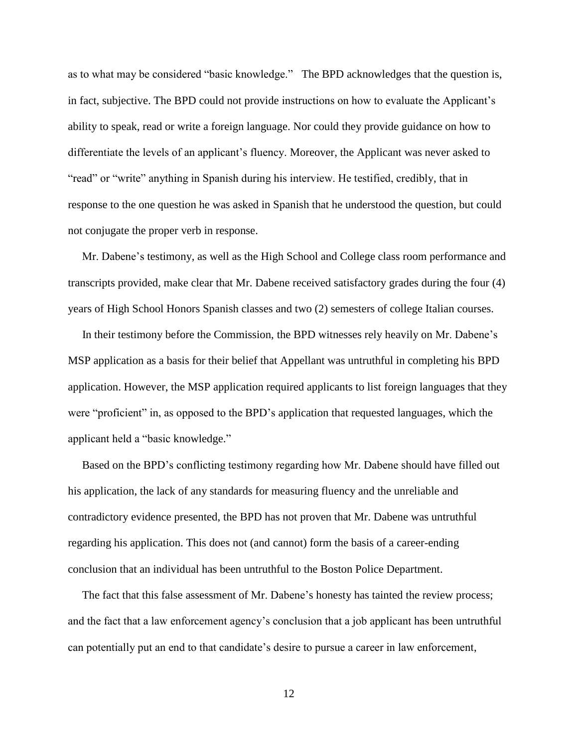as to what may be considered "basic knowledge." The BPD acknowledges that the question is, in fact, subjective. The BPD could not provide instructions on how to evaluate the Applicant's ability to speak, read or write a foreign language. Nor could they provide guidance on how to differentiate the levels of an applicant's fluency. Moreover, the Applicant was never asked to "read" or "write" anything in Spanish during his interview. He testified, credibly, that in response to the one question he was asked in Spanish that he understood the question, but could not conjugate the proper verb in response.

 Mr. Dabene's testimony, as well as the High School and College class room performance and transcripts provided, make clear that Mr. Dabene received satisfactory grades during the four (4) years of High School Honors Spanish classes and two (2) semesters of college Italian courses.

 In their testimony before the Commission, the BPD witnesses rely heavily on Mr. Dabene's MSP application as a basis for their belief that Appellant was untruthful in completing his BPD application. However, the MSP application required applicants to list foreign languages that they were "proficient" in, as opposed to the BPD's application that requested languages, which the applicant held a "basic knowledge."

 Based on the BPD's conflicting testimony regarding how Mr. Dabene should have filled out his application, the lack of any standards for measuring fluency and the unreliable and contradictory evidence presented, the BPD has not proven that Mr. Dabene was untruthful regarding his application. This does not (and cannot) form the basis of a career-ending conclusion that an individual has been untruthful to the Boston Police Department.

 The fact that this false assessment of Mr. Dabene's honesty has tainted the review process; and the fact that a law enforcement agency's conclusion that a job applicant has been untruthful can potentially put an end to that candidate's desire to pursue a career in law enforcement,

12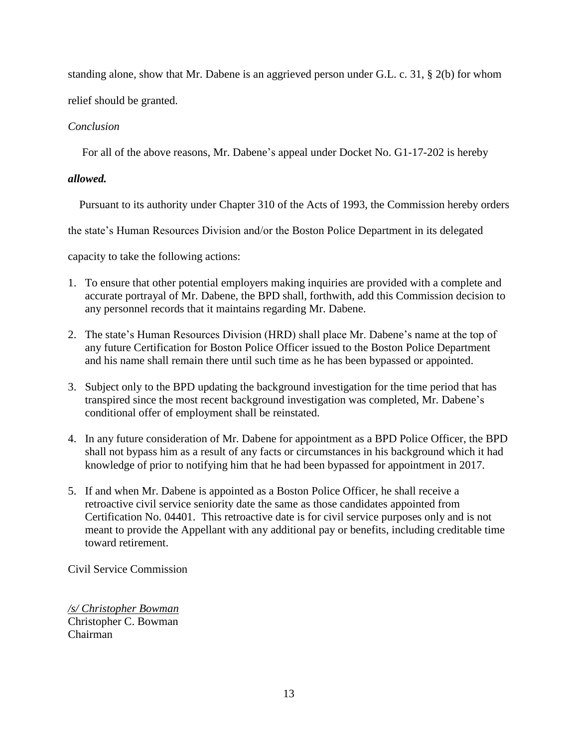standing alone, show that Mr. Dabene is an aggrieved person under G.L. c. 31, § 2(b) for whom relief should be granted.

# *Conclusion*

For all of the above reasons, Mr. Dabene's appeal under Docket No. G1-17-202 is hereby

# *allowed.*

Pursuant to its authority under Chapter 310 of the Acts of 1993, the Commission hereby orders

the state's Human Resources Division and/or the Boston Police Department in its delegated

capacity to take the following actions:

- 1. To ensure that other potential employers making inquiries are provided with a complete and accurate portrayal of Mr. Dabene, the BPD shall, forthwith, add this Commission decision to any personnel records that it maintains regarding Mr. Dabene.
- 2. The state's Human Resources Division (HRD) shall place Mr. Dabene's name at the top of any future Certification for Boston Police Officer issued to the Boston Police Department and his name shall remain there until such time as he has been bypassed or appointed.
- 3. Subject only to the BPD updating the background investigation for the time period that has transpired since the most recent background investigation was completed, Mr. Dabene's conditional offer of employment shall be reinstated.
- 4. In any future consideration of Mr. Dabene for appointment as a BPD Police Officer, the BPD shall not bypass him as a result of any facts or circumstances in his background which it had knowledge of prior to notifying him that he had been bypassed for appointment in 2017.
- 5. If and when Mr. Dabene is appointed as a Boston Police Officer, he shall receive a retroactive civil service seniority date the same as those candidates appointed from Certification No. 04401. This retroactive date is for civil service purposes only and is not meant to provide the Appellant with any additional pay or benefits, including creditable time toward retirement.

Civil Service Commission

*/s/ Christopher Bowman* Christopher C. Bowman Chairman